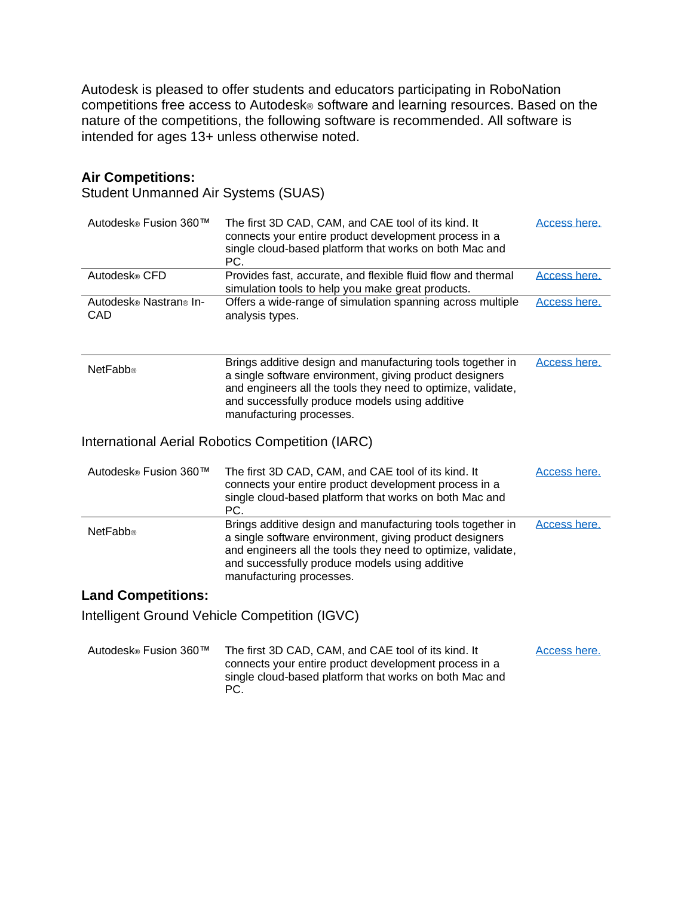Autodesk is pleased to offer students and educators participating in RoboNation competitions free access to Autodesk<sup>®</sup> software and learning resources. Based on the nature of the competitions, the following software is recommended. All software is intended for ages 13+ unless otherwise noted.

## **Air Competitions:**

Student Unmanned Air Systems (SUAS)

| Autodesk® Fusion 360™         | The first 3D CAD, CAM, and CAE tool of its kind. It<br>connects your entire product development process in a<br>single cloud-based platform that works on both Mac and<br>PC.                                                                                       | Access here. |
|-------------------------------|---------------------------------------------------------------------------------------------------------------------------------------------------------------------------------------------------------------------------------------------------------------------|--------------|
| Autodesk® CFD                 | Provides fast, accurate, and flexible fluid flow and thermal<br>simulation tools to help you make great products.                                                                                                                                                   | Access here. |
| Autodesk® Nastran® In-<br>CAD | Offers a wide-range of simulation spanning across multiple<br>analysis types.                                                                                                                                                                                       | Access here. |
| <b>NetFabb®</b>               | Brings additive design and manufacturing tools together in<br>a single software environment, giving product designers<br>and engineers all the tools they need to optimize, validate,<br>and successfully produce models using additive<br>manufacturing processes. | Access here. |
|                               | International Aerial Robotics Competition (IARC)                                                                                                                                                                                                                    |              |
| Autodesk® Fusion 360™         | The first 3D CAD, CAM, and CAE tool of its kind. It<br>connects your entire product development process in a<br>single cloud-based platform that works on both Mac and<br>PC.                                                                                       | Access here. |
| <b>NetFabb®</b>               | Brings additive design and manufacturing tools together in<br>a single software environment, giving product designers<br>and engineers all the tools they need to optimize, validate,<br>and successfully produce models using additive<br>manufacturing processes. | Access here. |
| <b>Land Competitions:</b>     |                                                                                                                                                                                                                                                                     |              |
|                               | Intelligent Ground Vehicle Competition (IGVC)                                                                                                                                                                                                                       |              |
| Autodesk® Fusion 360™         | The first 3D CAD, CAM, and CAE tool of its kind. It<br>connects your entire product development process in a<br>single cloud-based platform that works on both Mac and<br>PC.                                                                                       | Access here. |